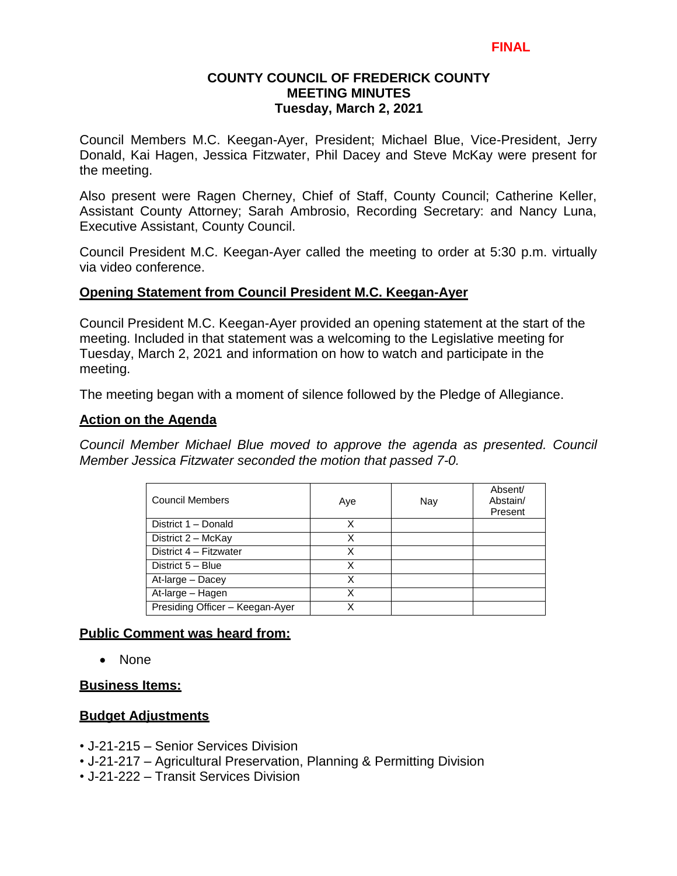## **COUNTY COUNCIL OF FREDERICK COUNTY MEETING MINUTES Tuesday, March 2, 2021**

Council Members M.C. Keegan-Ayer, President; Michael Blue, Vice-President, Jerry Donald, Kai Hagen, Jessica Fitzwater, Phil Dacey and Steve McKay were present for the meeting.

Also present were Ragen Cherney, Chief of Staff, County Council; Catherine Keller, Assistant County Attorney; Sarah Ambrosio, Recording Secretary: and Nancy Luna, Executive Assistant, County Council.

Council President M.C. Keegan-Ayer called the meeting to order at 5:30 p.m. virtually via video conference.

### **Opening Statement from Council President M.C. Keegan-Ayer**

Council President M.C. Keegan-Ayer provided an opening statement at the start of the meeting. Included in that statement was a welcoming to the Legislative meeting for Tuesday, March 2, 2021 and information on how to watch and participate in the meeting.

The meeting began with a moment of silence followed by the Pledge of Allegiance.

### **Action on the Agenda**

*Council Member Michael Blue moved to approve the agenda as presented. Council Member Jessica Fitzwater seconded the motion that passed 7-0.*

| <b>Council Members</b>          | Aye | Nay | Absent/<br>Abstain/<br>Present |
|---------------------------------|-----|-----|--------------------------------|
| District 1 - Donald             | x   |     |                                |
| District 2 - McKay              | х   |     |                                |
| District 4 - Fitzwater          | X   |     |                                |
| District 5 - Blue               | x   |     |                                |
| At-large - Dacey                | x   |     |                                |
| At-large - Hagen                |     |     |                                |
| Presiding Officer - Keegan-Ayer |     |     |                                |

# **Public Comment was heard from:**

• None

#### **Business Items:**

# **Budget Adjustments**

- J-21-215 Senior Services Division
- J-21-217 Agricultural Preservation, Planning & Permitting Division
- J-21-222 Transit Services Division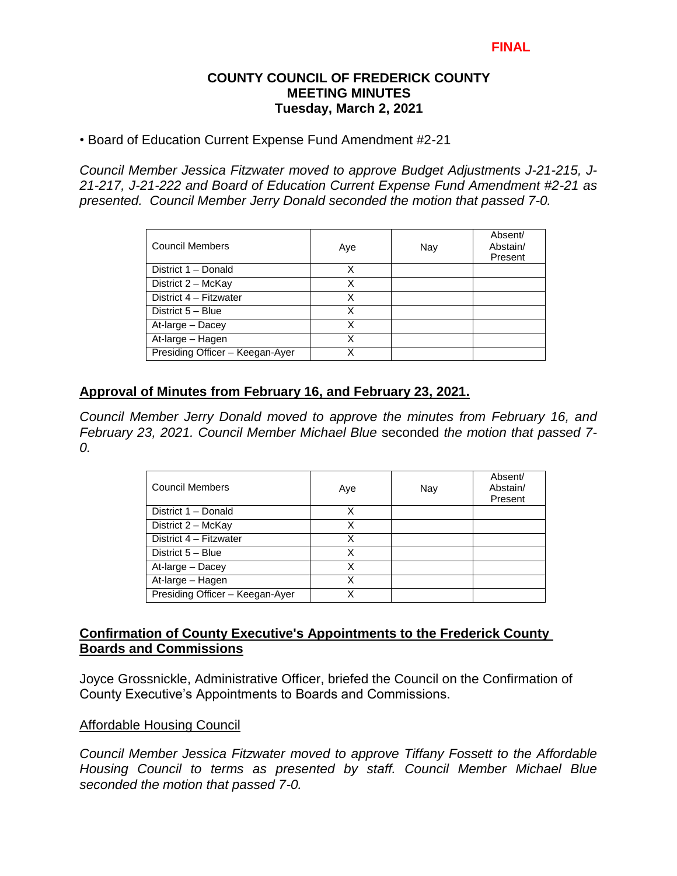### **COUNTY COUNCIL OF FREDERICK COUNTY MEETING MINUTES Tuesday, March 2, 2021**

• Board of Education Current Expense Fund Amendment #2-21

*Council Member Jessica Fitzwater moved to approve Budget Adjustments J-21-215, J-21-217, J-21-222 and Board of Education Current Expense Fund Amendment #2-21 as presented. Council Member Jerry Donald seconded the motion that passed 7-0.*

| <b>Council Members</b>          | Aye | Nay | Absent/<br>Abstain/<br>Present |
|---------------------------------|-----|-----|--------------------------------|
| District 1 - Donald             | x   |     |                                |
| District 2 - McKay              | Χ   |     |                                |
| District 4 - Fitzwater          | Χ   |     |                                |
| District 5 - Blue               | х   |     |                                |
| At-large - Dacey                | x   |     |                                |
| At-large - Hagen                | Χ   |     |                                |
| Presiding Officer - Keegan-Ayer |     |     |                                |

# **Approval of Minutes from February 16, and February 23, 2021.**

*Council Member Jerry Donald moved to approve the minutes from February 16, and February 23, 2021. Council Member Michael Blue* seconded *the motion that passed 7- 0.* 

| <b>Council Members</b>          | Aye | Nay | Absent/<br>Abstain/<br>Present |
|---------------------------------|-----|-----|--------------------------------|
| District 1 - Donald             | Χ   |     |                                |
| District 2 - McKay              | Χ   |     |                                |
| District 4 - Fitzwater          | x   |     |                                |
| District 5 - Blue               | x   |     |                                |
| At-large - Dacey                | Χ   |     |                                |
| At-large - Hagen                | x   |     |                                |
| Presiding Officer - Keegan-Ayer | x   |     |                                |

# **Confirmation of County Executive's Appointments to the Frederick County Boards and Commissions**

Joyce Grossnickle, Administrative Officer, briefed the Council on the Confirmation of County Executive's Appointments to Boards and Commissions.

# Affordable Housing Council

*Council Member Jessica Fitzwater moved to approve Tiffany Fossett to the Affordable Housing Council to terms as presented by staff. Council Member Michael Blue seconded the motion that passed 7-0.*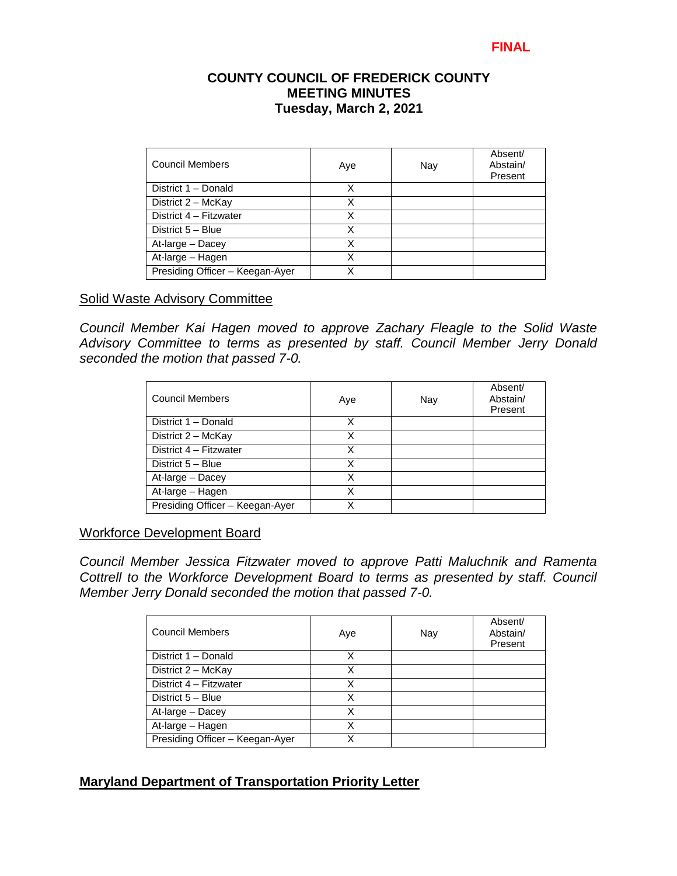# **COUNTY COUNCIL OF FREDERICK COUNTY MEETING MINUTES Tuesday, March 2, 2021**

| <b>Council Members</b>          | Aye | Nay | Absent/<br>Abstain/<br>Present |
|---------------------------------|-----|-----|--------------------------------|
| District 1 - Donald             | Χ   |     |                                |
| District 2 - McKay              | Χ   |     |                                |
| District 4 - Fitzwater          | х   |     |                                |
| District 5 - Blue               | х   |     |                                |
| At-large - Dacey                | Χ   |     |                                |
| At-large - Hagen                | Χ   |     |                                |
| Presiding Officer - Keegan-Ayer |     |     |                                |

### Solid Waste Advisory Committee

*Council Member Kai Hagen moved to approve Zachary Fleagle to the Solid Waste Advisory Committee to terms as presented by staff. Council Member Jerry Donald seconded the motion that passed 7-0.* 

| <b>Council Members</b>          | Aye | Nay | Absent/<br>Abstain/<br>Present |
|---------------------------------|-----|-----|--------------------------------|
| District 1 - Donald             | x   |     |                                |
| District 2 - McKay              | Χ   |     |                                |
| District 4 - Fitzwater          | Χ   |     |                                |
| District 5 - Blue               | x   |     |                                |
| At-large - Dacey                | X   |     |                                |
| At-large - Hagen                | x   |     |                                |
| Presiding Officer - Keegan-Ayer | ¥   |     |                                |

#### Workforce Development Board

*Council Member Jessica Fitzwater moved to approve Patti Maluchnik and Ramenta Cottrell to the Workforce Development Board to terms as presented by staff. Council Member Jerry Donald seconded the motion that passed 7-0.* 

| <b>Council Members</b>          | Aye | Nay | Absent/<br>Abstain/<br>Present |
|---------------------------------|-----|-----|--------------------------------|
| District 1 - Donald             | х   |     |                                |
| District 2 - McKay              | Χ   |     |                                |
| District 4 - Fitzwater          | X   |     |                                |
| District 5 - Blue               | X   |     |                                |
| At-large - Dacey                |     |     |                                |
| At-large - Hagen                | x   |     |                                |
| Presiding Officer - Keegan-Ayer |     |     |                                |

# **Maryland Department of Transportation Priority Letter**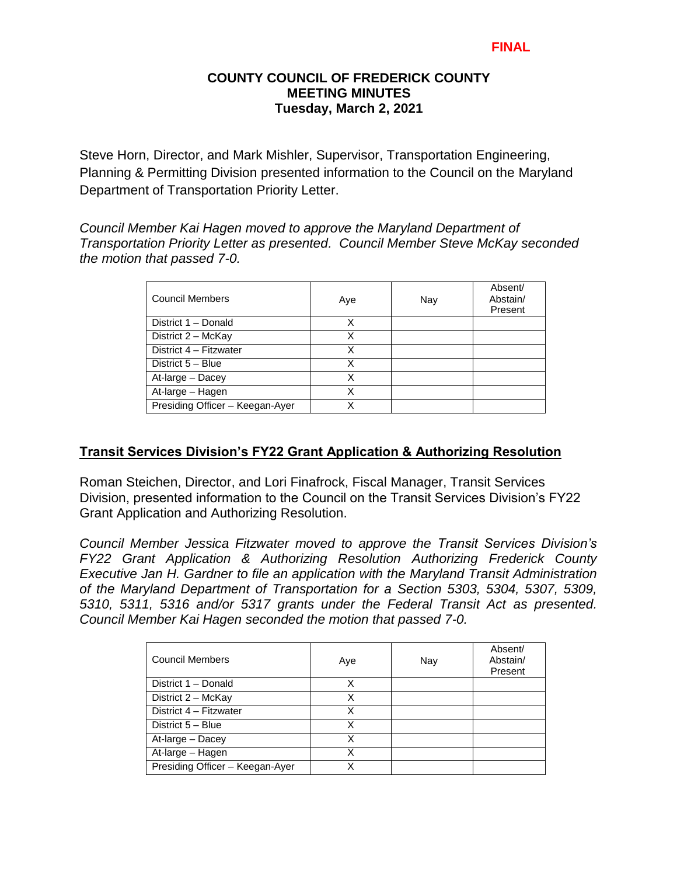## **COUNTY COUNCIL OF FREDERICK COUNTY MEETING MINUTES Tuesday, March 2, 2021**

Steve Horn, Director, and Mark Mishler, Supervisor, Transportation Engineering, Planning & Permitting Division presented information to the Council on the Maryland Department of Transportation Priority Letter.

*Council Member Kai Hagen moved to approve the Maryland Department of Transportation Priority Letter as presented. Council Member Steve McKay seconded the motion that passed 7-0.* 

| <b>Council Members</b>          | Aye | Nay | Absent/<br>Abstain/<br>Present |
|---------------------------------|-----|-----|--------------------------------|
| District 1 - Donald             | х   |     |                                |
| District 2 - McKay              | Χ   |     |                                |
| District 4 - Fitzwater          | Χ   |     |                                |
| District 5 - Blue               | Χ   |     |                                |
| At-large - Dacey                | Χ   |     |                                |
| At-large - Hagen                | x   |     |                                |
| Presiding Officer - Keegan-Ayer | Χ   |     |                                |

# **Transit Services Division's FY22 Grant Application & Authorizing Resolution**

Roman Steichen, Director, and Lori Finafrock, Fiscal Manager, Transit Services Division, presented information to the Council on the Transit Services Division's FY22 Grant Application and Authorizing Resolution.

*Council Member Jessica Fitzwater moved to approve the Transit Services Division's FY22 Grant Application & Authorizing Resolution Authorizing Frederick County Executive Jan H. Gardner to file an application with the Maryland Transit Administration of the Maryland Department of Transportation for a Section 5303, 5304, 5307, 5309, 5310, 5311, 5316 and/or 5317 grants under the Federal Transit Act as presented. Council Member Kai Hagen seconded the motion that passed 7-0.* 

| <b>Council Members</b>          | Aye | Nay | Absent/<br>Abstain/<br>Present |
|---------------------------------|-----|-----|--------------------------------|
| District 1 - Donald             | Χ   |     |                                |
| District 2 - McKay              | Χ   |     |                                |
| District 4 - Fitzwater          | Χ   |     |                                |
| District 5 - Blue               | x   |     |                                |
| At-large - Dacey                | x   |     |                                |
| At-large - Hagen                |     |     |                                |
| Presiding Officer - Keegan-Ayer |     |     |                                |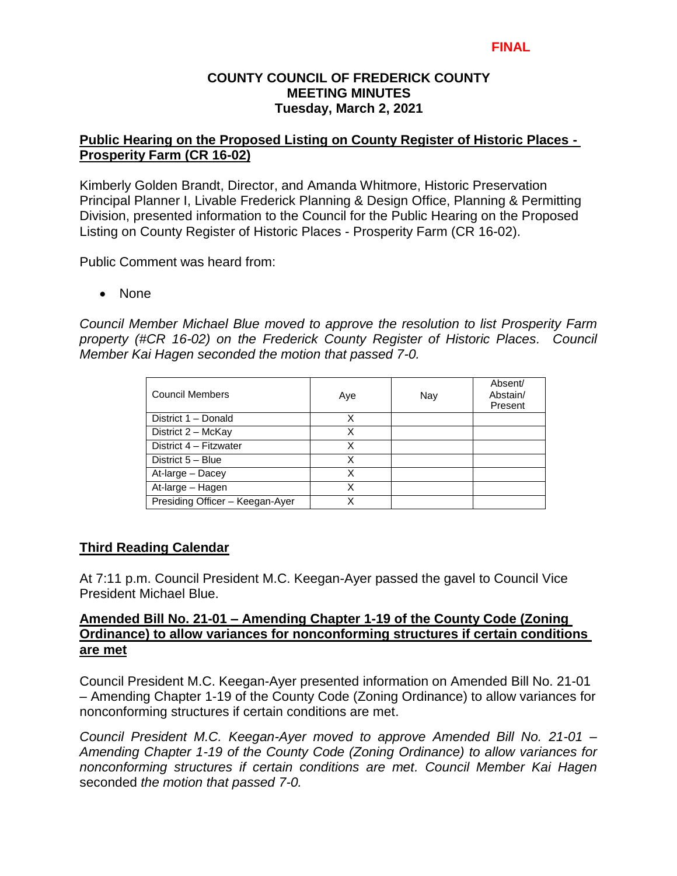## **COUNTY COUNCIL OF FREDERICK COUNTY MEETING MINUTES Tuesday, March 2, 2021**

# **Public Hearing on the Proposed Listing on County Register of Historic Places - Prosperity Farm (CR 16-02)**

Kimberly Golden Brandt, Director, and Amanda Whitmore, Historic Preservation Principal Planner I, Livable Frederick Planning & Design Office, Planning & Permitting Division, presented information to the Council for the Public Hearing on the Proposed Listing on County Register of Historic Places - Prosperity Farm (CR 16-02).

Public Comment was heard from:

• None

*Council Member Michael Blue moved to approve the resolution to list Prosperity Farm property (#CR 16-02) on the Frederick County Register of Historic Places. Council Member Kai Hagen seconded the motion that passed 7-0.* 

| Council Members                 | Aye | Nay | Absent/<br>Abstain/<br>Present |
|---------------------------------|-----|-----|--------------------------------|
| District 1 - Donald             | X   |     |                                |
| District 2 - McKay              | х   |     |                                |
| District 4 - Fitzwater          | X   |     |                                |
| District 5 - Blue               | X   |     |                                |
| At-large - Dacey                | Χ   |     |                                |
| At-large - Hagen                | X   |     |                                |
| Presiding Officer - Keegan-Ayer | x   |     |                                |

# **Third Reading Calendar**

At 7:11 p.m. Council President M.C. Keegan-Ayer passed the gavel to Council Vice President Michael Blue.

## **Amended Bill No. 21-01 – Amending Chapter 1-19 of the County Code (Zoning Ordinance) to allow variances for nonconforming structures if certain conditions are met**

Council President M.C. Keegan-Ayer presented information on Amended Bill No. 21-01 – Amending Chapter 1-19 of the County Code (Zoning Ordinance) to allow variances for nonconforming structures if certain conditions are met.

*Council President M.C. Keegan-Ayer moved to approve Amended Bill No. 21-01 – Amending Chapter 1-19 of the County Code (Zoning Ordinance) to allow variances for nonconforming structures if certain conditions are met. Council Member Kai Hagen* seconded *the motion that passed 7-0.*